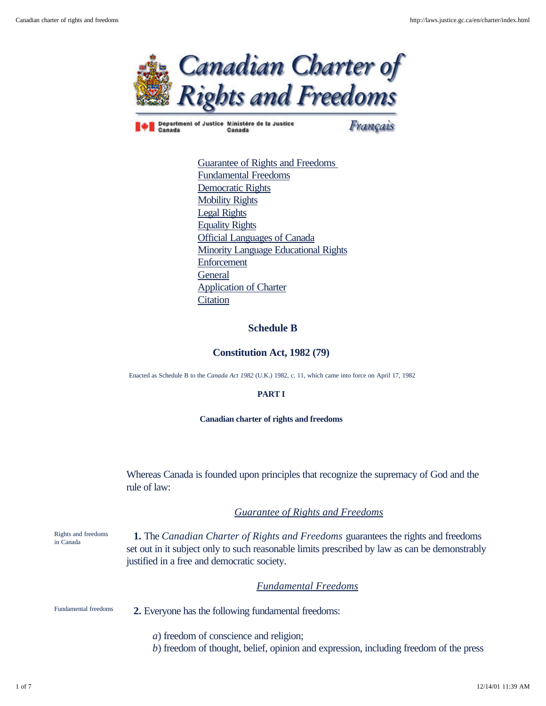

Department of Justice Ministère de la Justice Canada Canada

Français

Guarantee of Rights and Freedoms Fundamental Freedoms Democratic Rights **Mobility Rights** Legal Rights Equality Rights Official Languages of Canada Minority Language Educational Rights **Enforcement General** Application of Charter **Citation** 

#### **Schedule B**

#### **Constitution Act, 1982 (79)**

Enacted as Schedule B to the *Canada Act 1982* (U.K.) 1982, c. 11, which came into force on April 17, 1982

#### **PART I**

#### **Canadian charter of rights and freedoms**

Whereas Canada is founded upon principles that recognize the supremacy of God and the rule of law:

## *Guarantee of Rights and Freedoms*

Rights and freedoms in Canada

 **1.** The *Canadian Charter of Rights and Freedoms* guarantees the rights and freedoms set out in it subject only to such reasonable limits prescribed by law as can be demonstrably justified in a free and democratic society.

## *Fundamental Freedoms*

Fundamental freedoms **2.** Everyone has the following fundamental freedoms:

- *a*) freedom of conscience and religion;
- *b*) freedom of thought, belief, opinion and expression, including freedom of the press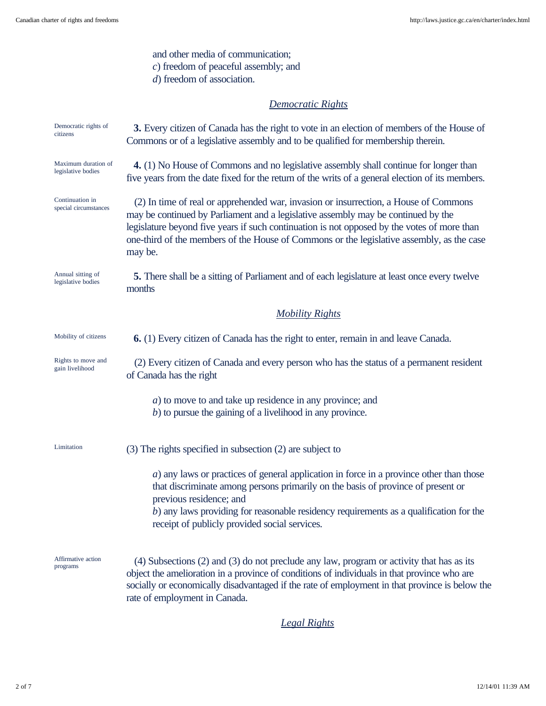|                                           | and other media of communication;<br>$c$ ) freedom of peaceful assembly; and<br>$d$ ) freedom of association.                                                                                                                                                                                                                                                                    |
|-------------------------------------------|----------------------------------------------------------------------------------------------------------------------------------------------------------------------------------------------------------------------------------------------------------------------------------------------------------------------------------------------------------------------------------|
|                                           | <u>Democratic Rights</u>                                                                                                                                                                                                                                                                                                                                                         |
| Democratic rights of<br>citizens          | 3. Every citizen of Canada has the right to vote in an election of members of the House of<br>Commons or of a legislative assembly and to be qualified for membership therein.                                                                                                                                                                                                   |
| Maximum duration of<br>legislative bodies | 4. (1) No House of Commons and no legislative assembly shall continue for longer than<br>five years from the date fixed for the return of the writs of a general election of its members.                                                                                                                                                                                        |
| Continuation in<br>special circumstances  | (2) In time of real or apprehended war, invasion or insurrection, a House of Commons<br>may be continued by Parliament and a legislative assembly may be continued by the<br>legislature beyond five years if such continuation is not opposed by the votes of more than<br>one-third of the members of the House of Commons or the legislative assembly, as the case<br>may be. |
| Annual sitting of<br>legislative bodies   | <b>5.</b> There shall be a sitting of Parliament and of each legislature at least once every twelve<br>months                                                                                                                                                                                                                                                                    |
|                                           | <b>Mobility Rights</b>                                                                                                                                                                                                                                                                                                                                                           |
| Mobility of citizens                      | <b>6.</b> (1) Every citizen of Canada has the right to enter, remain in and leave Canada.                                                                                                                                                                                                                                                                                        |
| Rights to move and<br>gain livelihood     | (2) Every citizen of Canada and every person who has the status of a permanent resident<br>of Canada has the right                                                                                                                                                                                                                                                               |
|                                           | <i>a</i> ) to move to and take up residence in any province; and<br>$b$ ) to pursue the gaining of a livelihood in any province.                                                                                                                                                                                                                                                 |
| Limitation                                | (3) The rights specified in subsection (2) are subject to                                                                                                                                                                                                                                                                                                                        |
|                                           | a) any laws or practices of general application in force in a province other than those<br>that discriminate among persons primarily on the basis of province of present or<br>previous residence; and<br>$b$ ) any laws providing for reasonable residency requirements as a qualification for the<br>receipt of publicly provided social services.                             |
| Affirmative action<br>programs            | (4) Subsections (2) and (3) do not preclude any law, program or activity that has as its<br>object the amelioration in a province of conditions of individuals in that province who are<br>socially or economically disadvantaged if the rate of employment in that province is below the<br>rate of employment in Canada.                                                       |

# *Legal Rights*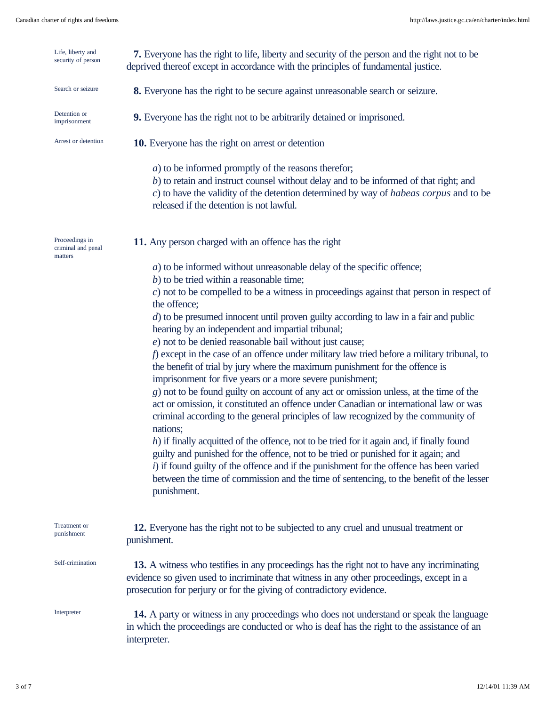| Life, liberty and<br>security of person         | 7. Everyone has the right to life, liberty and security of the person and the right not to be<br>deprived thereof except in accordance with the principles of fundamental justice.                                                                                                                                                                                                                                                                                                                                                                                                            |
|-------------------------------------------------|-----------------------------------------------------------------------------------------------------------------------------------------------------------------------------------------------------------------------------------------------------------------------------------------------------------------------------------------------------------------------------------------------------------------------------------------------------------------------------------------------------------------------------------------------------------------------------------------------|
| Search or seizure                               | 8. Everyone has the right to be secure against unreasonable search or seizure.                                                                                                                                                                                                                                                                                                                                                                                                                                                                                                                |
| Detention or<br>imprisonment                    | <b>9.</b> Everyone has the right not to be arbitrarily detained or imprisoned.                                                                                                                                                                                                                                                                                                                                                                                                                                                                                                                |
| Arrest or detention                             | 10. Everyone has the right on arrest or detention                                                                                                                                                                                                                                                                                                                                                                                                                                                                                                                                             |
|                                                 | <i>a</i> ) to be informed promptly of the reasons therefor;<br>b) to retain and instruct counsel without delay and to be informed of that right; and<br>c) to have the validity of the detention determined by way of habeas corpus and to be<br>released if the detention is not lawful.                                                                                                                                                                                                                                                                                                     |
| Proceedings in<br>criminal and penal<br>matters | 11. Any person charged with an offence has the right                                                                                                                                                                                                                                                                                                                                                                                                                                                                                                                                          |
|                                                 | $a)$ to be informed without unreasonable delay of the specific offence;<br>$b$ ) to be tried within a reasonable time;                                                                                                                                                                                                                                                                                                                                                                                                                                                                        |
|                                                 | $c$ ) not to be compelled to be a witness in proceedings against that person in respect of<br>the offence;                                                                                                                                                                                                                                                                                                                                                                                                                                                                                    |
|                                                 | $d$ ) to be presumed innocent until proven guilty according to law in a fair and public<br>hearing by an independent and impartial tribunal;                                                                                                                                                                                                                                                                                                                                                                                                                                                  |
|                                                 | $e$ ) not to be denied reasonable bail without just cause;<br>$f$ ) except in the case of an offence under military law tried before a military tribunal, to<br>the benefit of trial by jury where the maximum punishment for the offence is<br>imprisonment for five years or a more severe punishment;<br>g) not to be found guilty on account of any act or omission unless, at the time of the<br>act or omission, it constituted an offence under Canadian or international law or was<br>criminal according to the general principles of law recognized by the community of<br>nations; |
|                                                 | $h$ ) if finally acquitted of the offence, not to be tried for it again and, if finally found<br>guilty and punished for the offence, not to be tried or punished for it again; and<br>$i$ ) if found guilty of the offence and if the punishment for the offence has been varied<br>between the time of commission and the time of sentencing, to the benefit of the lesser<br>punishment.                                                                                                                                                                                                   |
| Treatment or<br>punishment                      | 12. Everyone has the right not to be subjected to any cruel and unusual treatment or<br>punishment.                                                                                                                                                                                                                                                                                                                                                                                                                                                                                           |
| Self-crimination                                | 13. A witness who testifies in any proceedings has the right not to have any incriminating<br>evidence so given used to incriminate that witness in any other proceedings, except in a<br>prosecution for perjury or for the giving of contradictory evidence.                                                                                                                                                                                                                                                                                                                                |
| Interpreter                                     | 14. A party or witness in any proceedings who does not understand or speak the language<br>in which the proceedings are conducted or who is deaf has the right to the assistance of an<br>interpreter.                                                                                                                                                                                                                                                                                                                                                                                        |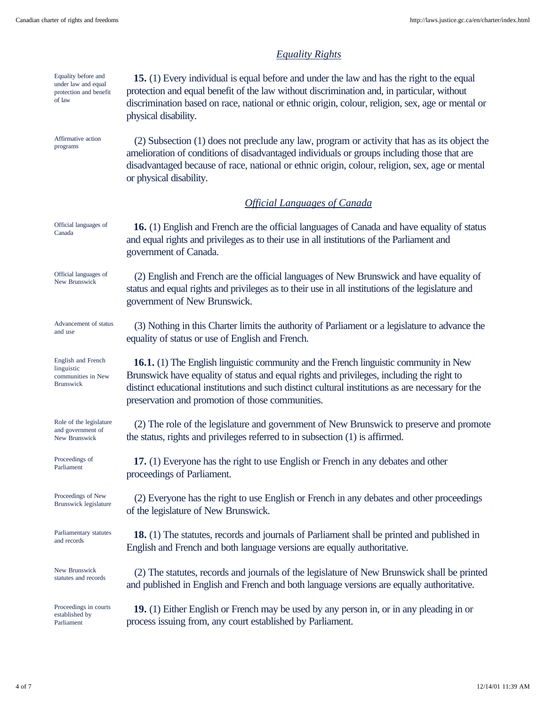## *Equality Rights*

Equality before and under law and equal protection and benefit of law **15.** (1) Every individual is equal before and under the law and has the right to the equal protection and equal benefit of the law without discrimination and, in particular, without discrimination based on race, national or ethnic origin, colour, religion, sex, age or mental or physical disability. Affirmative action programs (2) Subsection (1) does not preclude any law, program or activity that has as its object the amelioration of conditions of disadvantaged individuals or groups including those that are disadvantaged because of race, national or ethnic origin, colour, religion, sex, age or mental or physical disability. *Official Languages of Canada* Official languages of Canada **16.** (1) English and French are the official languages of Canada and have equality of status and equal rights and privileges as to their use in all institutions of the Parliament and government of Canada. Official languages of New Brunswick (2) English and French are the official languages of New Brunswick and have equality of status and equal rights and privileges as to their use in all institutions of the legislature and government of New Brunswick. Advancement of status and use (3) Nothing in this Charter limits the authority of Parliament or a legislature to advance the equality of status or use of English and French. English and French linguistic communities in New Brunswick **16.1.** (1) The English linguistic community and the French linguistic community in New Brunswick have equality of status and equal rights and privileges, including the right to distinct educational institutions and such distinct cultural institutions as are necessary for the preservation and promotion of those communities. Role of the legislature and government of New Brunswick (2) The role of the legislature and government of New Brunswick to preserve and promote the status, rights and privileges referred to in subsection (1) is affirmed. Proceedings of Parliament **17.** (1) Everyone has the right to use English or French in any debates and other proceedings of Parliament. Proceedings of New Brunswick legislature (2) Everyone has the right to use English or French in any debates and other proceedings of the legislature of New Brunswick. Parliamentary statutes and records **18.** (1) The statutes, records and journals of Parliament shall be printed and published in English and French and both language versions are equally authoritative. New Brunswick statutes and records (2) The statutes, records and journals of the legislature of New Brunswick shall be printed and published in English and French and both language versions are equally authoritative. Proceedings in courts established by Parliament **19.** (1) Either English or French may be used by any person in, or in any pleading in or process issuing from, any court established by Parliament.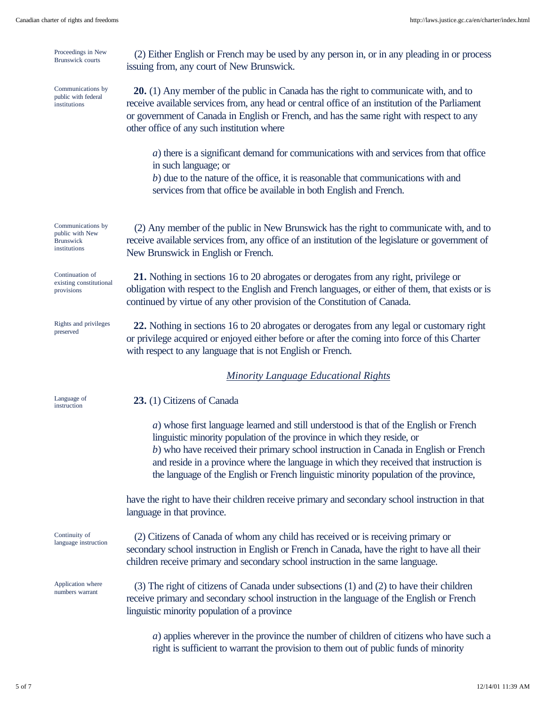| Proceedings in New<br><b>Brunswick courts</b>                            | (2) Either English or French may be used by any person in, or in any pleading in or process<br>issuing from, any court of New Brunswick.                                                                                                                                                                                                                                                                                                    |
|--------------------------------------------------------------------------|---------------------------------------------------------------------------------------------------------------------------------------------------------------------------------------------------------------------------------------------------------------------------------------------------------------------------------------------------------------------------------------------------------------------------------------------|
| Communications by<br>public with federal<br>institutions                 | 20. (1) Any member of the public in Canada has the right to communicate with, and to<br>receive available services from, any head or central office of an institution of the Parliament<br>or government of Canada in English or French, and has the same right with respect to any<br>other office of any such institution where                                                                                                           |
|                                                                          | a) there is a significant demand for communications with and services from that office<br>in such language; or<br>b) due to the nature of the office, it is reasonable that communications with and<br>services from that office be available in both English and French.                                                                                                                                                                   |
| Communications by<br>public with New<br><b>Brunswick</b><br>institutions | (2) Any member of the public in New Brunswick has the right to communicate with, and to<br>receive available services from, any office of an institution of the legislature or government of<br>New Brunswick in English or French.                                                                                                                                                                                                         |
| Continuation of<br>existing constitutional<br>provisions                 | 21. Nothing in sections 16 to 20 abrogates or derogates from any right, privilege or<br>obligation with respect to the English and French languages, or either of them, that exists or is<br>continued by virtue of any other provision of the Constitution of Canada.                                                                                                                                                                      |
| Rights and privileges<br>preserved                                       | 22. Nothing in sections 16 to 20 abrogates or derogates from any legal or customary right<br>or privilege acquired or enjoyed either before or after the coming into force of this Charter<br>with respect to any language that is not English or French.                                                                                                                                                                                   |
|                                                                          | <b>Minority Language Educational Rights</b>                                                                                                                                                                                                                                                                                                                                                                                                 |
| Language of<br>instruction                                               | 23. (1) Citizens of Canada                                                                                                                                                                                                                                                                                                                                                                                                                  |
|                                                                          | a) whose first language learned and still understood is that of the English or French<br>linguistic minority population of the province in which they reside, or<br>b) who have received their primary school instruction in Canada in English or French<br>and reside in a province where the language in which they received that instruction is<br>the language of the English or French linguistic minority population of the province, |
|                                                                          | have the right to have their children receive primary and secondary school instruction in that<br>language in that province.                                                                                                                                                                                                                                                                                                                |
| Continuity of<br>language instruction                                    | (2) Citizens of Canada of whom any child has received or is receiving primary or<br>secondary school instruction in English or French in Canada, have the right to have all their<br>children receive primary and secondary school instruction in the same language.                                                                                                                                                                        |
| Application where<br>numbers warrant                                     | (3) The right of citizens of Canada under subsections (1) and (2) to have their children<br>receive primary and secondary school instruction in the language of the English or French<br>linguistic minority population of a province                                                                                                                                                                                                       |
|                                                                          | a) applies wherever in the province the number of children of citizens who have such a<br>right is sufficient to warrant the provision to them out of public funds of minority                                                                                                                                                                                                                                                              |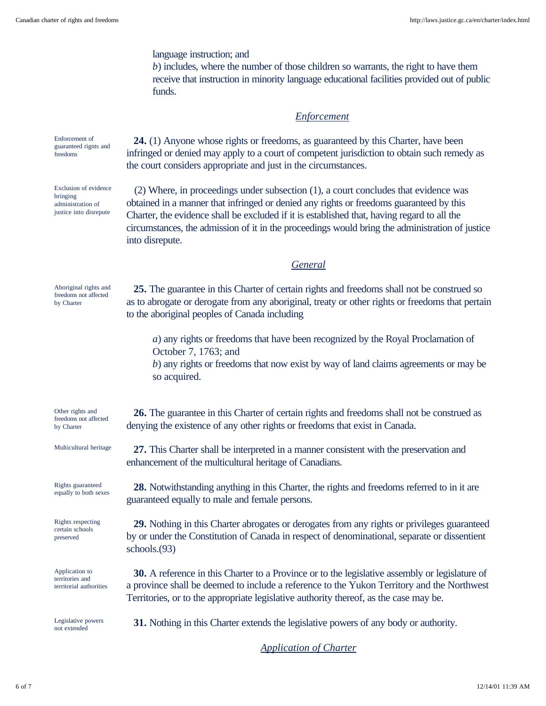|                                                                                  | language instruction; and<br>b) includes, where the number of those children so warrants, the right to have them<br>receive that instruction in minority language educational facilities provided out of public<br>funds.                                                                                                                                                                           |
|----------------------------------------------------------------------------------|-----------------------------------------------------------------------------------------------------------------------------------------------------------------------------------------------------------------------------------------------------------------------------------------------------------------------------------------------------------------------------------------------------|
|                                                                                  | <b>Enforcement</b>                                                                                                                                                                                                                                                                                                                                                                                  |
| Enforcement of<br>guaranteed rignts and<br>freedoms                              | 24. (1) Anyone whose rights or freedoms, as guaranteed by this Charter, have been<br>infringed or denied may apply to a court of competent jurisdiction to obtain such remedy as<br>the court considers appropriate and just in the circumstances.                                                                                                                                                  |
| Exclusion of evidence<br>bringing<br>administration of<br>justice into disrepute | (2) Where, in proceedings under subsection (1), a court concludes that evidence was<br>obtained in a manner that infringed or denied any rights or freedoms guaranteed by this<br>Charter, the evidence shall be excluded if it is established that, having regard to all the<br>circumstances, the admission of it in the proceedings would bring the administration of justice<br>into disrepute. |
|                                                                                  | <b>General</b>                                                                                                                                                                                                                                                                                                                                                                                      |
| Aboriginal rights and<br>freedoms not affected<br>by Charter                     | 25. The guarantee in this Charter of certain rights and freedoms shall not be construed so<br>as to abrogate or derogate from any aboriginal, treaty or other rights or freedoms that pertain<br>to the aboriginal peoples of Canada including                                                                                                                                                      |
|                                                                                  | a) any rights or freedoms that have been recognized by the Royal Proclamation of<br>October 7, 1763; and<br>b) any rights or freedoms that now exist by way of land claims agreements or may be<br>so acquired.                                                                                                                                                                                     |
| Other rights and<br>freedoms not affected<br>by Charter                          | 26. The guarantee in this Charter of certain rights and freedoms shall not be construed as<br>denying the existence of any other rights or freedoms that exist in Canada.                                                                                                                                                                                                                           |
| Multicultural heritage                                                           | 27. This Charter shall be interpreted in a manner consistent with the preservation and<br>enhancement of the multicultural heritage of Canadians.                                                                                                                                                                                                                                                   |
| Rights guaranteed<br>equally to both sexes                                       | 28. Notwithstanding anything in this Charter, the rights and freedoms referred to in it are<br>guaranteed equally to male and female persons.                                                                                                                                                                                                                                                       |
| Rights respecting<br>certain schools<br>preserved                                | 29. Nothing in this Charter abrogates or derogates from any rights or privileges guaranteed<br>by or under the Constitution of Canada in respect of denominational, separate or dissentient<br>schools. (93)                                                                                                                                                                                        |
| Application to<br>territories and<br>territorial authorities                     | <b>30.</b> A reference in this Charter to a Province or to the legislative assembly or legislature of<br>a province shall be deemed to include a reference to the Yukon Territory and the Northwest<br>Territories, or to the appropriate legislative authority thereof, as the case may be.                                                                                                        |
| Legislative powers<br>not extended                                               | 31. Nothing in this Charter extends the legislative powers of any body or authority.                                                                                                                                                                                                                                                                                                                |

*Application of Charter*